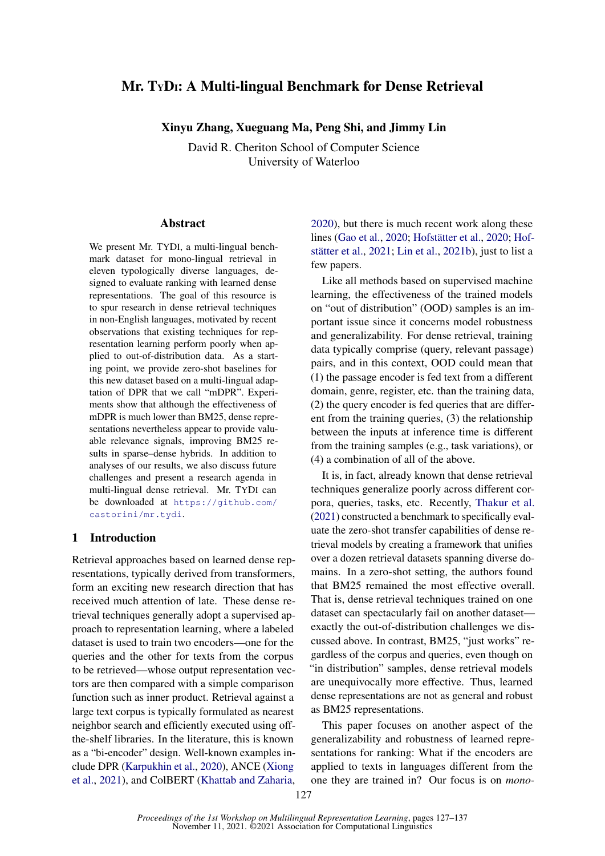# <span id="page-0-0"></span>Mr. TyD<sub>I</sub>: A Multi-lingual Benchmark for Dense Retrieval

Xinyu Zhang, Xueguang Ma, Peng Shi, and Jimmy Lin

David R. Cheriton School of Computer Science University of Waterloo

## Abstract

We present Mr. TYDI, a multi-lingual benchmark dataset for mono-lingual retrieval in eleven typologically diverse languages, designed to evaluate ranking with learned dense representations. The goal of this resource is to spur research in dense retrieval techniques in non-English languages, motivated by recent observations that existing techniques for representation learning perform poorly when applied to out-of-distribution data. As a starting point, we provide zero-shot baselines for this new dataset based on a multi-lingual adaptation of DPR that we call "mDPR". Experiments show that although the effectiveness of mDPR is much lower than BM25, dense representations nevertheless appear to provide valuable relevance signals, improving BM25 results in sparse–dense hybrids. In addition to analyses of our results, we also discuss future challenges and present a research agenda in multi-lingual dense retrieval. Mr. TYDI can be downloaded at [https://github.com/](https://github.com/castorini/mr.tydi) [castorini/mr.tydi](https://github.com/castorini/mr.tydi).

## 1 Introduction

Retrieval approaches based on learned dense representations, typically derived from transformers, form an exciting new research direction that has received much attention of late. These dense retrieval techniques generally adopt a supervised approach to representation learning, where a labeled dataset is used to train two encoders—one for the queries and the other for texts from the corpus to be retrieved—whose output representation vectors are then compared with a simple comparison function such as inner product. Retrieval against a large text corpus is typically formulated as nearest neighbor search and efficiently executed using offthe-shelf libraries. In the literature, this is known as a "bi-encoder" design. Well-known examples include DPR [\(Karpukhin et al.,](#page-9-0) [2020\)](#page-9-0), ANCE [\(Xiong](#page-10-0) [et al.,](#page-10-0) [2021\)](#page-10-0), and ColBERT [\(Khattab and Zaharia,](#page-9-1) [2020\)](#page-9-1), but there is much recent work along these lines [\(Gao et al.,](#page-9-2) [2020;](#page-9-2) [Hofstätter et al.,](#page-9-3) [2020;](#page-9-3) [Hof](#page-9-4)[stätter et al.,](#page-9-4) [2021;](#page-9-4) [Lin et al.,](#page-9-5) [2021b\)](#page-9-5), just to list a few papers.

Like all methods based on supervised machine learning, the effectiveness of the trained models on "out of distribution" (OOD) samples is an important issue since it concerns model robustness and generalizability. For dense retrieval, training data typically comprise (query, relevant passage) pairs, and in this context, OOD could mean that (1) the passage encoder is fed text from a different domain, genre, register, etc. than the training data, (2) the query encoder is fed queries that are different from the training queries, (3) the relationship between the inputs at inference time is different from the training samples (e.g., task variations), or (4) a combination of all of the above.

It is, in fact, already known that dense retrieval techniques generalize poorly across different corpora, queries, tasks, etc. Recently, [Thakur et al.](#page-10-1) [\(2021\)](#page-10-1) constructed a benchmark to specifically evaluate the zero-shot transfer capabilities of dense retrieval models by creating a framework that unifies over a dozen retrieval datasets spanning diverse domains. In a zero-shot setting, the authors found that BM25 remained the most effective overall. That is, dense retrieval techniques trained on one dataset can spectacularly fail on another dataset exactly the out-of-distribution challenges we discussed above. In contrast, BM25, "just works" regardless of the corpus and queries, even though on "in distribution" samples, dense retrieval models are unequivocally more effective. Thus, learned dense representations are not as general and robust as BM25 representations.

This paper focuses on another aspect of the generalizability and robustness of learned representations for ranking: What if the encoders are applied to texts in languages different from the one they are trained in? Our focus is on *mono-*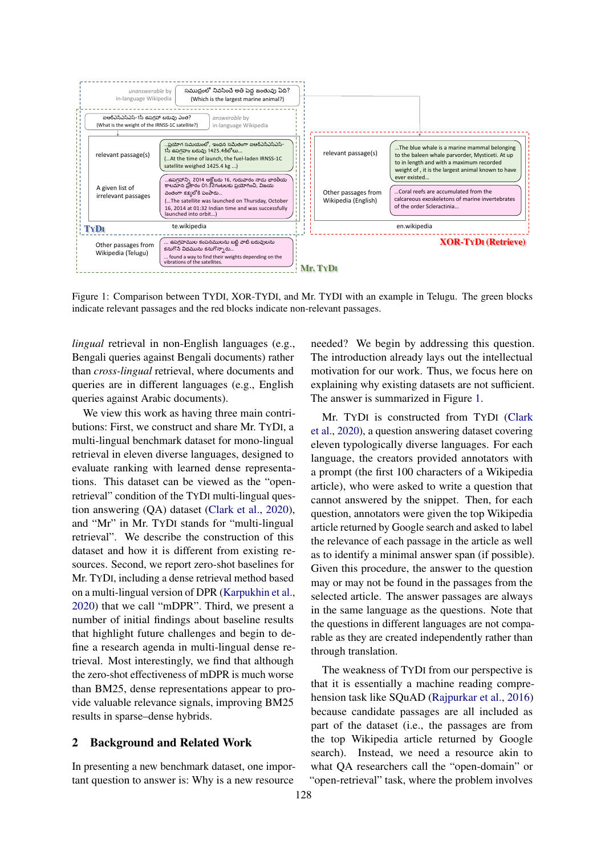<span id="page-1-0"></span>

Figure 1: Comparison between TYDI, XOR-TYDI, and Mr. TYDI with an example in Telugu. The green blocks indicate relevant passages and the red blocks indicate non-relevant passages.

*lingual* retrieval in non-English languages (e.g., Bengali queries against Bengali documents) rather than *cross-lingual* retrieval, where documents and queries are in different languages (e.g., English queries against Arabic documents).

We view this work as having three main contributions: First, we construct and share Mr. TYDI, a multi-lingual benchmark dataset for mono-lingual retrieval in eleven diverse languages, designed to evaluate ranking with learned dense representations. This dataset can be viewed as the "openretrieval" condition of the TYDI multi-lingual question answering (QA) dataset [\(Clark et al.,](#page-9-6) [2020\)](#page-9-6), and "Mr" in Mr. TYDI stands for "multi-lingual retrieval". We describe the construction of this dataset and how it is different from existing resources. Second, we report zero-shot baselines for Mr. TYDI, including a dense retrieval method based on a multi-lingual version of DPR [\(Karpukhin et al.,](#page-9-0) [2020\)](#page-9-0) that we call "mDPR". Third, we present a number of initial findings about baseline results that highlight future challenges and begin to define a research agenda in multi-lingual dense retrieval. Most interestingly, we find that although the zero-shot effectiveness of mDPR is much worse than BM25, dense representations appear to provide valuable relevance signals, improving BM25 results in sparse–dense hybrids.

### 2 Background and Related Work

In presenting a new benchmark dataset, one important question to answer is: Why is a new resource needed? We begin by addressing this question. The introduction already lays out the intellectual motivation for our work. Thus, we focus here on explaining why existing datasets are not sufficient. The answer is summarized in Figure [1.](#page-1-0)

Mr. TYDI is constructed from TYDI [\(Clark](#page-9-6) [et al.,](#page-9-6) [2020\)](#page-9-6), a question answering dataset covering eleven typologically diverse languages. For each language, the creators provided annotators with a prompt (the first 100 characters of a Wikipedia article), who were asked to write a question that cannot answered by the snippet. Then, for each question, annotators were given the top Wikipedia article returned by Google search and asked to label the relevance of each passage in the article as well as to identify a minimal answer span (if possible). Given this procedure, the answer to the question may or may not be found in the passages from the selected article. The answer passages are always in the same language as the questions. Note that the questions in different languages are not comparable as they are created independently rather than through translation.

The weakness of TYDI from our perspective is that it is essentially a machine reading comprehension task like SQuAD [\(Rajpurkar et al.,](#page-9-7) [2016\)](#page-9-7) because candidate passages are all included as part of the dataset (i.e., the passages are from the top Wikipedia article returned by Google search). Instead, we need a resource akin to what QA researchers call the "open-domain" or "open-retrieval" task, where the problem involves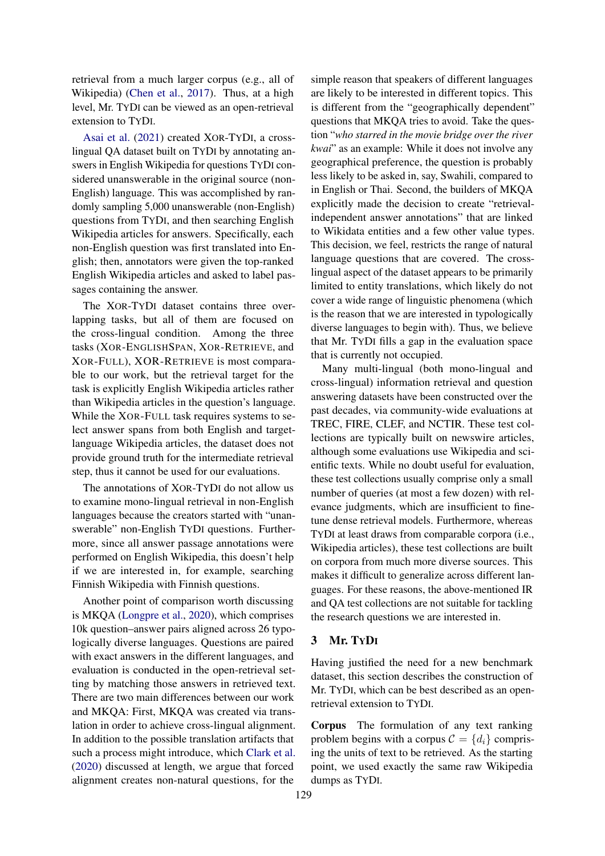retrieval from a much larger corpus (e.g., all of Wikipedia) [\(Chen et al.,](#page-9-8) [2017\)](#page-9-8). Thus, at a high level, Mr. TYDI can be viewed as an open-retrieval extension to TYDI.

[Asai et al.](#page-9-9) [\(2021\)](#page-9-9) created XOR-TYDI, a crosslingual QA dataset built on TYDI by annotating answers in English Wikipedia for questions TYDI considered unanswerable in the original source (non-English) language. This was accomplished by randomly sampling 5,000 unanswerable (non-English) questions from TYDI, and then searching English Wikipedia articles for answers. Specifically, each non-English question was first translated into English; then, annotators were given the top-ranked English Wikipedia articles and asked to label passages containing the answer.

The XOR-TYDI dataset contains three overlapping tasks, but all of them are focused on the cross-lingual condition. Among the three tasks (XOR-ENGLISHSPAN, XOR-RETRIEVE, and XOR-FULL), XOR-RETRIEVE is most comparable to our work, but the retrieval target for the task is explicitly English Wikipedia articles rather than Wikipedia articles in the question's language. While the XOR-FULL task requires systems to select answer spans from both English and targetlanguage Wikipedia articles, the dataset does not provide ground truth for the intermediate retrieval step, thus it cannot be used for our evaluations.

The annotations of XOR-TYDI do not allow us to examine mono-lingual retrieval in non-English languages because the creators started with "unanswerable" non-English TYDI questions. Furthermore, since all answer passage annotations were performed on English Wikipedia, this doesn't help if we are interested in, for example, searching Finnish Wikipedia with Finnish questions.

Another point of comparison worth discussing is MKQA [\(Longpre et al.,](#page-9-10) [2020\)](#page-9-10), which comprises 10k question–answer pairs aligned across 26 typologically diverse languages. Questions are paired with exact answers in the different languages, and evaluation is conducted in the open-retrieval setting by matching those answers in retrieved text. There are two main differences between our work and MKQA: First, MKQA was created via translation in order to achieve cross-lingual alignment. In addition to the possible translation artifacts that such a process might introduce, which [Clark et al.](#page-9-6) [\(2020\)](#page-9-6) discussed at length, we argue that forced alignment creates non-natural questions, for the

simple reason that speakers of different languages are likely to be interested in different topics. This is different from the "geographically dependent" questions that MKQA tries to avoid. Take the question "*who starred in the movie bridge over the river kwai*" as an example: While it does not involve any geographical preference, the question is probably less likely to be asked in, say, Swahili, compared to in English or Thai. Second, the builders of MKQA explicitly made the decision to create "retrievalindependent answer annotations" that are linked to Wikidata entities and a few other value types. This decision, we feel, restricts the range of natural language questions that are covered. The crosslingual aspect of the dataset appears to be primarily limited to entity translations, which likely do not cover a wide range of linguistic phenomena (which is the reason that we are interested in typologically diverse languages to begin with). Thus, we believe that Mr. TYDI fills a gap in the evaluation space that is currently not occupied.

Many multi-lingual (both mono-lingual and cross-lingual) information retrieval and question answering datasets have been constructed over the past decades, via community-wide evaluations at TREC, FIRE, CLEF, and NCTIR. These test collections are typically built on newswire articles, although some evaluations use Wikipedia and scientific texts. While no doubt useful for evaluation, these test collections usually comprise only a small number of queries (at most a few dozen) with relevance judgments, which are insufficient to finetune dense retrieval models. Furthermore, whereas TYDI at least draws from comparable corpora (i.e., Wikipedia articles), these test collections are built on corpora from much more diverse sources. This makes it difficult to generalize across different languages. For these reasons, the above-mentioned IR and QA test collections are not suitable for tackling the research questions we are interested in.

## 3 Mr. TYDI

Having justified the need for a new benchmark dataset, this section describes the construction of Mr. TYDI, which can be best described as an openretrieval extension to TYDI.

Corpus The formulation of any text ranking problem begins with a corpus  $\mathcal{C} = \{d_i\}$  comprising the units of text to be retrieved. As the starting point, we used exactly the same raw Wikipedia dumps as TYDI.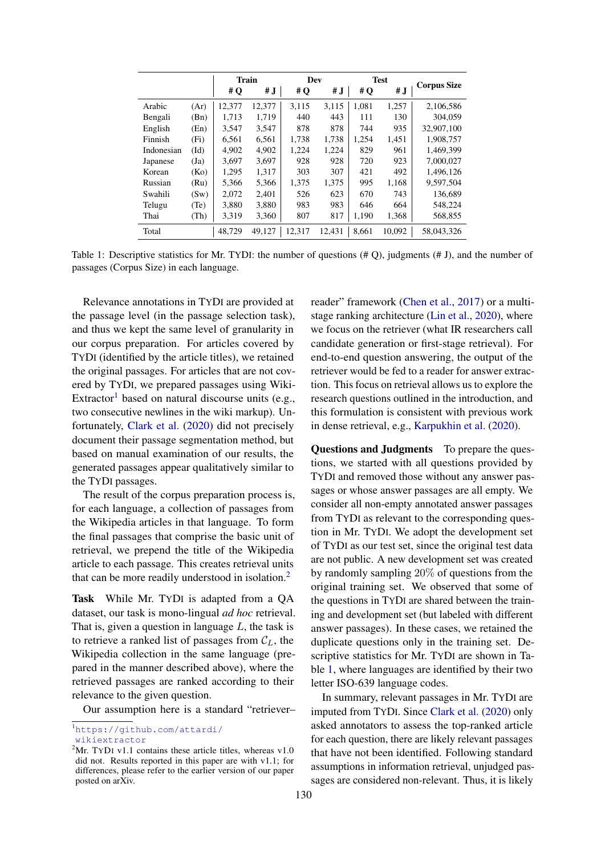<span id="page-3-0"></span>

|            |                   |        | <b>Train</b> |        | Dev    |       | <b>Test</b> |                    |  |
|------------|-------------------|--------|--------------|--------|--------|-------|-------------|--------------------|--|
|            |                   | # $Q$  | # J          | #Q     | # $J$  | #Q    | # J         | <b>Corpus Size</b> |  |
| Arabic     | (Ar)              | 12,377 | 12,377       | 3,115  | 3.115  | 1.081 | 1,257       | 2,106,586          |  |
| Bengali    | (Bn)              | 1.713  | 1.719        | 440    | 443    | 111   | 130         | 304,059            |  |
| English    | (En)              | 3,547  | 3,547        | 878    | 878    | 744   | 935         | 32,907,100         |  |
| Finnish    | (F <sub>i</sub> ) | 6,561  | 6,561        | 1.738  | 1.738  | 1,254 | 1,451       | 1,908,757          |  |
| Indonesian | $(Id)$            | 4,902  | 4,902        | 1,224  | 1,224  | 829   | 961         | 1.469.399          |  |
| Japanese   | (Ja)              | 3.697  | 3,697        | 928    | 928    | 720   | 923         | 7.000.027          |  |
| Korean     | (Ko)              | 1,295  | 1,317        | 303    | 307    | 421   | 492         | 1,496,126          |  |
| Russian    | (Ru)              | 5,366  | 5,366        | 1,375  | 1,375  | 995   | 1,168       | 9,597,504          |  |
| Swahili    | (Sw)              | 2.072  | 2,401        | 526    | 623    | 670   | 743         | 136,689            |  |
| Telugu     | (Te)              | 3,880  | 3,880        | 983    | 983    | 646   | 664         | 548,224            |  |
| Thai       | (Th)              | 3,319  | 3,360        | 807    | 817    | 1,190 | 1,368       | 568,855            |  |
| Total      |                   | 48.729 | 49.127       | 12.317 | 12.431 | 8,661 | 10.092      | 58,043,326         |  |

Table 1: Descriptive statistics for Mr. TYDI: the number of questions  $(\# Q)$ , judgments  $(\# J)$ , and the number of passages (Corpus Size) in each language.

Relevance annotations in TYDI are provided at the passage level (in the passage selection task), and thus we kept the same level of granularity in our corpus preparation. For articles covered by TYDI (identified by the article titles), we retained the original passages. For articles that are not covered by TYDI, we prepared passages using Wiki-Extractor<sup>[1](#page-0-0)</sup> based on natural discourse units (e.g., two consecutive newlines in the wiki markup). Unfortunately, [Clark et al.](#page-9-6) [\(2020\)](#page-9-6) did not precisely document their passage segmentation method, but based on manual examination of our results, the generated passages appear qualitatively similar to the TYDI passages.

The result of the corpus preparation process is, for each language, a collection of passages from the Wikipedia articles in that language. To form the final passages that comprise the basic unit of retrieval, we prepend the title of the Wikipedia article to each passage. This creates retrieval units that can be more readily understood in isolation.<sup>[2](#page-0-0)</sup>

Task While Mr. TYDI is adapted from a QA dataset, our task is mono-lingual *ad hoc* retrieval. That is, given a question in language  $L$ , the task is to retrieve a ranked list of passages from  $C_L$ , the Wikipedia collection in the same language (prepared in the manner described above), where the retrieved passages are ranked according to their relevance to the given question.

Our assumption here is a standard "retriever–

<sup>1</sup>[https://github.com/attardi/](https://github.com/attardi/wikiextractor) [wikiextractor](https://github.com/attardi/wikiextractor)

reader" framework [\(Chen et al.,](#page-9-8) [2017\)](#page-9-8) or a multistage ranking architecture [\(Lin et al.,](#page-9-11) [2020\)](#page-9-11), where we focus on the retriever (what IR researchers call candidate generation or first-stage retrieval). For end-to-end question answering, the output of the retriever would be fed to a reader for answer extraction. This focus on retrieval allows us to explore the research questions outlined in the introduction, and this formulation is consistent with previous work in dense retrieval, e.g., [Karpukhin et al.](#page-9-0) [\(2020\)](#page-9-0).

Questions and Judgments To prepare the questions, we started with all questions provided by TYDI and removed those without any answer passages or whose answer passages are all empty. We consider all non-empty annotated answer passages from TYDI as relevant to the corresponding question in Mr. TYDI. We adopt the development set of TYDI as our test set, since the original test data are not public. A new development set was created by randomly sampling 20% of questions from the original training set. We observed that some of the questions in TYDI are shared between the training and development set (but labeled with different answer passages). In these cases, we retained the duplicate questions only in the training set. Descriptive statistics for Mr. TYDI are shown in Table [1,](#page-3-0) where languages are identified by their two letter ISO-639 language codes.

In summary, relevant passages in Mr. TYDI are imputed from TYDI. Since [Clark et al.](#page-9-6) [\(2020\)](#page-9-6) only asked annotators to assess the top-ranked article for each question, there are likely relevant passages that have not been identified. Following standard assumptions in information retrieval, unjudged passages are considered non-relevant. Thus, it is likely

<sup>&</sup>lt;sup>2</sup>Mr. TYDI v1.1 contains these article titles, whereas v1.0 did not. Results reported in this paper are with v1.1; for differences, please refer to the earlier version of our paper posted on arXiv.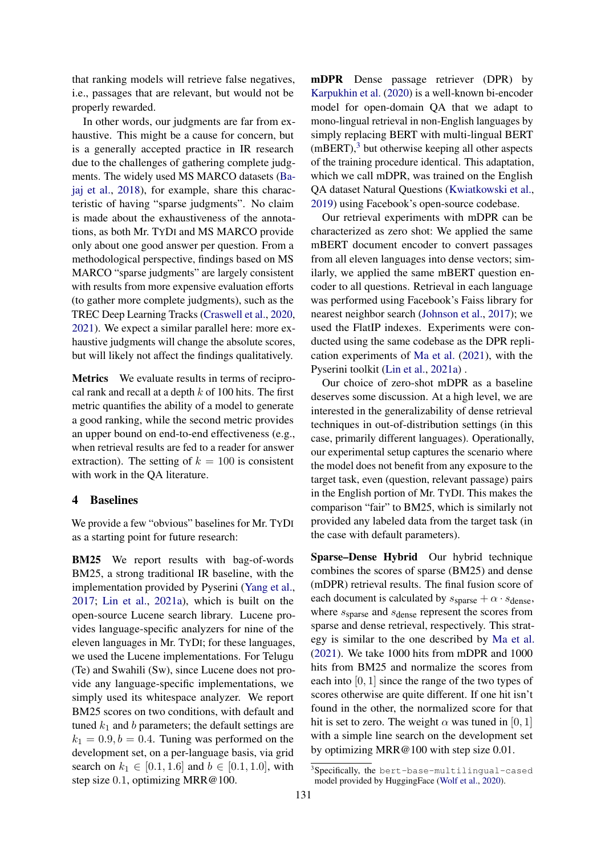that ranking models will retrieve false negatives, i.e., passages that are relevant, but would not be properly rewarded.

In other words, our judgments are far from exhaustive. This might be a cause for concern, but is a generally accepted practice in IR research due to the challenges of gathering complete judgments. The widely used MS MARCO datasets [\(Ba](#page-9-12)[jaj et al.,](#page-9-12) [2018\)](#page-9-12), for example, share this characteristic of having "sparse judgments". No claim is made about the exhaustiveness of the annotations, as both Mr. TYDI and MS MARCO provide only about one good answer per question. From a methodological perspective, findings based on MS MARCO "sparse judgments" are largely consistent with results from more expensive evaluation efforts (to gather more complete judgments), such as the TREC Deep Learning Tracks [\(Craswell et al.,](#page-9-13) [2020,](#page-9-13) [2021\)](#page-9-14). We expect a similar parallel here: more exhaustive judgments will change the absolute scores, but will likely not affect the findings qualitatively.

Metrics We evaluate results in terms of reciprocal rank and recall at a depth  $k$  of 100 hits. The first metric quantifies the ability of a model to generate a good ranking, while the second metric provides an upper bound on end-to-end effectiveness (e.g., when retrieval results are fed to a reader for answer extraction). The setting of  $k = 100$  is consistent with work in the QA literature.

## 4 Baselines

We provide a few "obvious" baselines for Mr. TYDI as a starting point for future research:

BM25 We report results with bag-of-words BM25, a strong traditional IR baseline, with the implementation provided by Pyserini [\(Yang et al.,](#page-10-2) [2017;](#page-10-2) [Lin et al.,](#page-9-15) [2021a\)](#page-9-15), which is built on the open-source Lucene search library. Lucene provides language-specific analyzers for nine of the eleven languages in Mr. TYDI; for these languages, we used the Lucene implementations. For Telugu (Te) and Swahili (Sw), since Lucene does not provide any language-specific implementations, we simply used its whitespace analyzer. We report BM25 scores on two conditions, with default and tuned  $k_1$  and b parameters; the default settings are  $k_1 = 0.9, b = 0.4$ . Tuning was performed on the development set, on a per-language basis, via grid search on  $k_1 \in [0.1, 1.6]$  and  $b \in [0.1, 1.0]$ , with step size 0.1, optimizing MRR@100.

mDPR Dense passage retriever (DPR) by [Karpukhin et al.](#page-9-0) [\(2020\)](#page-9-0) is a well-known bi-encoder model for open-domain QA that we adapt to mono-lingual retrieval in non-English languages by simply replacing BERT with multi-lingual BERT  $(mBERT),<sup>3</sup>$  $(mBERT),<sup>3</sup>$  $(mBERT),<sup>3</sup>$  but otherwise keeping all other aspects of the training procedure identical. This adaptation, which we call mDPR, was trained on the English QA dataset Natural Questions [\(Kwiatkowski et al.,](#page-9-16) [2019\)](#page-9-16) using Facebook's open-source codebase.

Our retrieval experiments with mDPR can be characterized as zero shot: We applied the same mBERT document encoder to convert passages from all eleven languages into dense vectors; similarly, we applied the same mBERT question encoder to all questions. Retrieval in each language was performed using Facebook's Faiss library for nearest neighbor search [\(Johnson et al.,](#page-9-17) [2017\)](#page-9-17); we used the FlatIP indexes. Experiments were conducted using the same codebase as the DPR replication experiments of [Ma et al.](#page-9-18) [\(2021\)](#page-9-18), with the Pyserini toolkit [\(Lin et al.,](#page-9-15) [2021a\)](#page-9-15) .

Our choice of zero-shot mDPR as a baseline deserves some discussion. At a high level, we are interested in the generalizability of dense retrieval techniques in out-of-distribution settings (in this case, primarily different languages). Operationally, our experimental setup captures the scenario where the model does not benefit from any exposure to the target task, even (question, relevant passage) pairs in the English portion of Mr. TYDI. This makes the comparison "fair" to BM25, which is similarly not provided any labeled data from the target task (in the case with default parameters).

Sparse–Dense Hybrid Our hybrid technique combines the scores of sparse (BM25) and dense (mDPR) retrieval results. The final fusion score of each document is calculated by  $s_{\text{sparse}} + \alpha \cdot s_{\text{dense}}$ , where  $s_{\text{sparse}}$  and  $s_{\text{dense}}$  represent the scores from sparse and dense retrieval, respectively. This strategy is similar to the one described by [Ma et al.](#page-9-18) [\(2021\)](#page-9-18). We take 1000 hits from mDPR and 1000 hits from BM25 and normalize the scores from each into [0, 1] since the range of the two types of scores otherwise are quite different. If one hit isn't found in the other, the normalized score for that hit is set to zero. The weight  $\alpha$  was tuned in [0, 1] with a simple line search on the development set by optimizing MRR@100 with step size 0.01.

<sup>3</sup> Specifically, the bert-base-multilingual-cased model provided by HuggingFace [\(Wolf et al.,](#page-10-3) [2020\)](#page-10-3).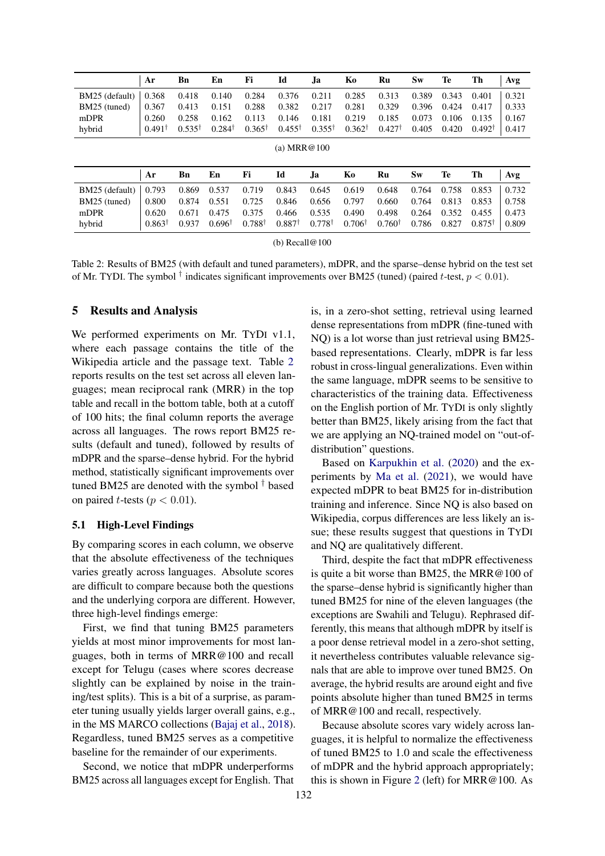<span id="page-5-0"></span>

|                | Ar                | <b>B</b> n            | En                | Fi                | Id                | Ja.               | Ko                | Ru                | <b>Sw</b> | Te        | Th                | Avg   |
|----------------|-------------------|-----------------------|-------------------|-------------------|-------------------|-------------------|-------------------|-------------------|-----------|-----------|-------------------|-------|
| BM25 (default) | 0.368             | 0.418                 | 0.140             | 0.284             | 0.376             | 0.211             | 0.285             | 0.313             | 0.389     | 0.343     | 0.401             | 0.321 |
| BM25 (tuned)   | 0.367             | 0.413                 | 0.151             | 0.288             | 0.382             | 0.217             | 0.281             | 0.329             | 0.396     | 0.424     | 0.417             | 0.333 |
| mDPR           | 0.260             | 0.258                 | 0.162             | 0.113             | 0.146             | 0.181             | 0.219             | 0.185             | 0.073     | 0.106     | 0.135             | 0.167 |
| hybrid         | $0.491^{\dagger}$ | $0.535^{\dagger}$     | $0.284^{\dagger}$ | $0.365^{\dagger}$ | $0.455^{\dagger}$ | $0.355^{\dagger}$ | $0.362^{\dagger}$ | $0.427^{\dagger}$ | 0.405     | 0.420     | $0.492^{\dagger}$ | 0.417 |
| (a) $MRR@100$  |                   |                       |                   |                   |                   |                   |                   |                   |           |           |                   |       |
|                | Ar                | <b>B</b> <sub>n</sub> | En                | Fi                | Id                | Ja.               | Ko                | Ru                | <b>Sw</b> | <b>Te</b> | Th                | Avg   |
| BM25 (default) | 0.793             | 0.869                 | 0.537             | 0.719             | 0.843             | 0.645             | 0.619             | 0.648             | 0.764     | 0.758     | 0.853             | 0.732 |
| BM25 (tuned)   | 0.800             | 0.874                 | 0.551             | 0.725             | 0.846             | 0.656             | 0.797             | 0.660             | 0.764     | 0.813     | 0.853             | 0.758 |
| mDPR           | 0.620             | 0.671                 | 0.475             | 0.375             | 0.466             | 0.535             | 0.490             | 0.498             | 0.264     | 0.352     | 0.455             | 0.473 |
| hybrid         | $0.863^{\dagger}$ | 0.937                 | $0.696^{\dagger}$ | $0.788^{\dagger}$ | $0.887^{\dagger}$ | $0.778^{\dagger}$ | $0.706^{\dagger}$ | $0.760^{\dagger}$ | 0.786     | 0.827     | $0.875^{\dagger}$ | 0.809 |

(b) Recall@100

Table 2: Results of BM25 (with default and tuned parameters), mDPR, and the sparse–dense hybrid on the test set of Mr. TYDI. The symbol  $^{\dagger}$  indicates significant improvements over BM25 (tuned) (paired t-test,  $p < 0.01$ ).

#### 5 Results and Analysis

We performed experiments on Mr. TYDI v1.1, where each passage contains the title of the Wikipedia article and the passage text. Table [2](#page-5-0) reports results on the test set across all eleven languages; mean reciprocal rank (MRR) in the top table and recall in the bottom table, both at a cutoff of 100 hits; the final column reports the average across all languages. The rows report BM25 results (default and tuned), followed by results of mDPR and the sparse–dense hybrid. For the hybrid method, statistically significant improvements over tuned BM25 are denoted with the symbol  $\dagger$  based on paired *t*-tests ( $p < 0.01$ ).

#### 5.1 High-Level Findings

By comparing scores in each column, we observe that the absolute effectiveness of the techniques varies greatly across languages. Absolute scores are difficult to compare because both the questions and the underlying corpora are different. However, three high-level findings emerge:

First, we find that tuning BM25 parameters yields at most minor improvements for most languages, both in terms of MRR@100 and recall except for Telugu (cases where scores decrease slightly can be explained by noise in the training/test splits). This is a bit of a surprise, as parameter tuning usually yields larger overall gains, e.g., in the MS MARCO collections [\(Bajaj et al.,](#page-9-12) [2018\)](#page-9-12). Regardless, tuned BM25 serves as a competitive baseline for the remainder of our experiments.

Second, we notice that mDPR underperforms BM25 across all languages except for English. That is, in a zero-shot setting, retrieval using learned dense representations from mDPR (fine-tuned with NQ) is a lot worse than just retrieval using BM25 based representations. Clearly, mDPR is far less robust in cross-lingual generalizations. Even within the same language, mDPR seems to be sensitive to characteristics of the training data. Effectiveness on the English portion of Mr. TYDI is only slightly better than BM25, likely arising from the fact that we are applying an NQ-trained model on "out-ofdistribution" questions.

Based on [Karpukhin et al.](#page-9-0) [\(2020\)](#page-9-0) and the experiments by [Ma et al.](#page-9-18) [\(2021\)](#page-9-18), we would have expected mDPR to beat BM25 for in-distribution training and inference. Since NQ is also based on Wikipedia, corpus differences are less likely an issue; these results suggest that questions in TYDI and NQ are qualitatively different.

Third, despite the fact that mDPR effectiveness is quite a bit worse than BM25, the MRR@100 of the sparse–dense hybrid is significantly higher than tuned BM25 for nine of the eleven languages (the exceptions are Swahili and Telugu). Rephrased differently, this means that although mDPR by itself is a poor dense retrieval model in a zero-shot setting, it nevertheless contributes valuable relevance signals that are able to improve over tuned BM25. On average, the hybrid results are around eight and five points absolute higher than tuned BM25 in terms of MRR@100 and recall, respectively.

Because absolute scores vary widely across languages, it is helpful to normalize the effectiveness of tuned BM25 to 1.0 and scale the effectiveness of mDPR and the hybrid approach appropriately; this is shown in Figure [2](#page-6-0) (left) for MRR@100. As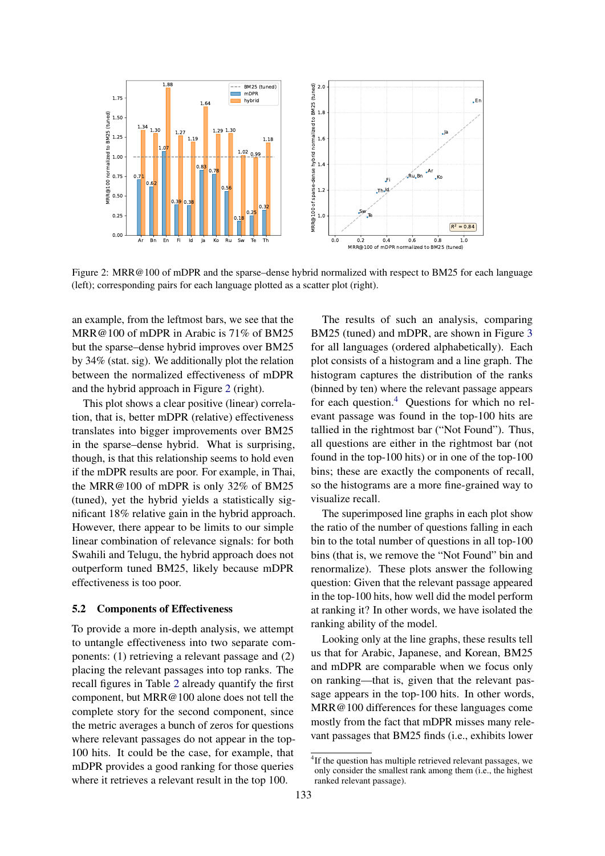<span id="page-6-0"></span>

Figure 2: MRR@100 of mDPR and the sparse–dense hybrid normalized with respect to BM25 for each language (left); corresponding pairs for each language plotted as a scatter plot (right).

an example, from the leftmost bars, we see that the MRR@100 of mDPR in Arabic is 71% of BM25 but the sparse–dense hybrid improves over BM25 by 34% (stat. sig). We additionally plot the relation between the normalized effectiveness of mDPR and the hybrid approach in Figure [2](#page-6-0) (right).

This plot shows a clear positive (linear) correlation, that is, better mDPR (relative) effectiveness translates into bigger improvements over BM25 in the sparse–dense hybrid. What is surprising, though, is that this relationship seems to hold even if the mDPR results are poor. For example, in Thai, the MRR@100 of mDPR is only 32% of BM25 (tuned), yet the hybrid yields a statistically significant 18% relative gain in the hybrid approach. However, there appear to be limits to our simple linear combination of relevance signals: for both Swahili and Telugu, the hybrid approach does not outperform tuned BM25, likely because mDPR effectiveness is too poor.

#### 5.2 Components of Effectiveness

To provide a more in-depth analysis, we attempt to untangle effectiveness into two separate components: (1) retrieving a relevant passage and (2) placing the relevant passages into top ranks. The recall figures in Table [2](#page-5-0) already quantify the first component, but MRR@100 alone does not tell the complete story for the second component, since the metric averages a bunch of zeros for questions where relevant passages do not appear in the top-100 hits. It could be the case, for example, that mDPR provides a good ranking for those queries where it retrieves a relevant result in the top 100.

The results of such an analysis, comparing BM25 (tuned) and mDPR, are shown in Figure [3](#page-7-0) for all languages (ordered alphabetically). Each plot consists of a histogram and a line graph. The histogram captures the distribution of the ranks (binned by ten) where the relevant passage appears for each question.[4](#page-0-0) Questions for which no relevant passage was found in the top-100 hits are tallied in the rightmost bar ("Not Found"). Thus, all questions are either in the rightmost bar (not found in the top-100 hits) or in one of the top-100 bins; these are exactly the components of recall, so the histograms are a more fine-grained way to visualize recall.

The superimposed line graphs in each plot show the ratio of the number of questions falling in each bin to the total number of questions in all top-100 bins (that is, we remove the "Not Found" bin and renormalize). These plots answer the following question: Given that the relevant passage appeared in the top-100 hits, how well did the model perform at ranking it? In other words, we have isolated the ranking ability of the model.

Looking only at the line graphs, these results tell us that for Arabic, Japanese, and Korean, BM25 and mDPR are comparable when we focus only on ranking—that is, given that the relevant passage appears in the top-100 hits. In other words, MRR@100 differences for these languages come mostly from the fact that mDPR misses many relevant passages that BM25 finds (i.e., exhibits lower

<sup>&</sup>lt;sup>4</sup>If the question has multiple retrieved relevant passages, we only consider the smallest rank among them (i.e., the highest ranked relevant passage).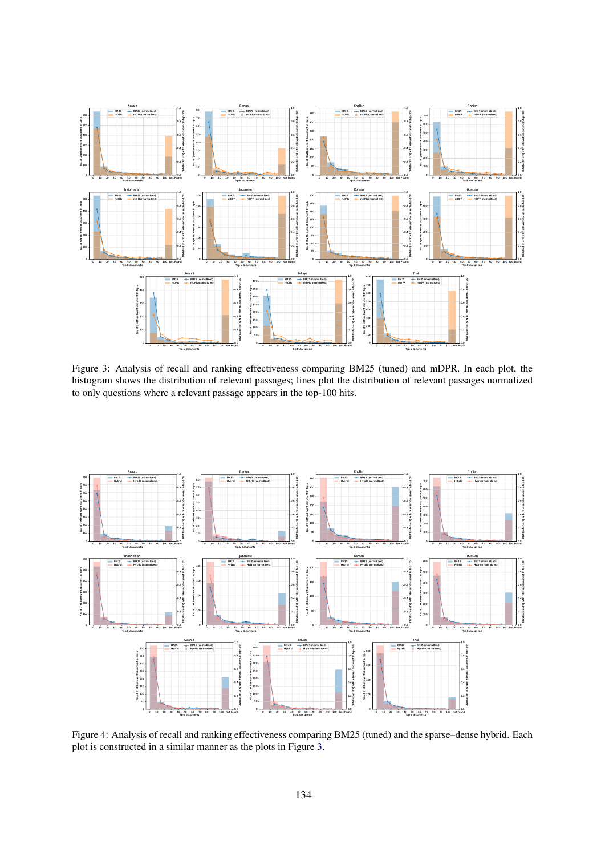<span id="page-7-0"></span>

Figure 3: Analysis of recall and ranking effectiveness comparing BM25 (tuned) and mDPR. In each plot, the histogram shows the distribution of relevant passages; lines plot the distribution of relevant passages normalized to only questions where a relevant passage appears in the top-100 hits.

<span id="page-7-1"></span>

Figure 4: Analysis of recall and ranking effectiveness comparing BM25 (tuned) and the sparse–dense hybrid. Each plot is constructed in a similar manner as the plots in Figure [3.](#page-7-0)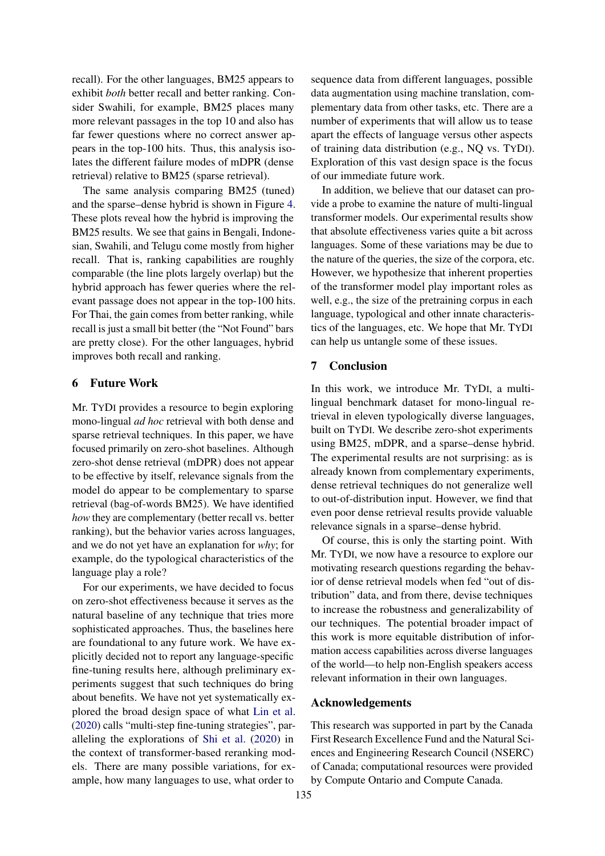recall). For the other languages, BM25 appears to exhibit *both* better recall and better ranking. Consider Swahili, for example, BM25 places many more relevant passages in the top 10 and also has far fewer questions where no correct answer appears in the top-100 hits. Thus, this analysis isolates the different failure modes of mDPR (dense retrieval) relative to BM25 (sparse retrieval).

The same analysis comparing BM25 (tuned) and the sparse–dense hybrid is shown in Figure [4.](#page-7-1) These plots reveal how the hybrid is improving the BM25 results. We see that gains in Bengali, Indonesian, Swahili, and Telugu come mostly from higher recall. That is, ranking capabilities are roughly comparable (the line plots largely overlap) but the hybrid approach has fewer queries where the relevant passage does not appear in the top-100 hits. For Thai, the gain comes from better ranking, while recall is just a small bit better (the "Not Found" bars are pretty close). For the other languages, hybrid improves both recall and ranking.

## 6 Future Work

Mr. TYDI provides a resource to begin exploring mono-lingual *ad hoc* retrieval with both dense and sparse retrieval techniques. In this paper, we have focused primarily on zero-shot baselines. Although zero-shot dense retrieval (mDPR) does not appear to be effective by itself, relevance signals from the model do appear to be complementary to sparse retrieval (bag-of-words BM25). We have identified *how* they are complementary (better recall vs. better ranking), but the behavior varies across languages, and we do not yet have an explanation for *why*; for example, do the typological characteristics of the language play a role?

For our experiments, we have decided to focus on zero-shot effectiveness because it serves as the natural baseline of any technique that tries more sophisticated approaches. Thus, the baselines here are foundational to any future work. We have explicitly decided not to report any language-specific fine-tuning results here, although preliminary experiments suggest that such techniques do bring about benefits. We have not yet systematically explored the broad design space of what [Lin et al.](#page-9-11) [\(2020\)](#page-9-11) calls "multi-step fine-tuning strategies", paralleling the explorations of [Shi et al.](#page-9-19) [\(2020\)](#page-9-19) in the context of transformer-based reranking models. There are many possible variations, for example, how many languages to use, what order to

sequence data from different languages, possible data augmentation using machine translation, complementary data from other tasks, etc. There are a number of experiments that will allow us to tease apart the effects of language versus other aspects of training data distribution (e.g., NQ vs. TYDI). Exploration of this vast design space is the focus of our immediate future work.

In addition, we believe that our dataset can provide a probe to examine the nature of multi-lingual transformer models. Our experimental results show that absolute effectiveness varies quite a bit across languages. Some of these variations may be due to the nature of the queries, the size of the corpora, etc. However, we hypothesize that inherent properties of the transformer model play important roles as well, e.g., the size of the pretraining corpus in each language, typological and other innate characteristics of the languages, etc. We hope that Mr. TYDI can help us untangle some of these issues.

## 7 Conclusion

In this work, we introduce Mr. TYDI, a multilingual benchmark dataset for mono-lingual retrieval in eleven typologically diverse languages, built on TYDI. We describe zero-shot experiments using BM25, mDPR, and a sparse–dense hybrid. The experimental results are not surprising: as is already known from complementary experiments, dense retrieval techniques do not generalize well to out-of-distribution input. However, we find that even poor dense retrieval results provide valuable relevance signals in a sparse–dense hybrid.

Of course, this is only the starting point. With Mr. TYDI, we now have a resource to explore our motivating research questions regarding the behavior of dense retrieval models when fed "out of distribution" data, and from there, devise techniques to increase the robustness and generalizability of our techniques. The potential broader impact of this work is more equitable distribution of information access capabilities across diverse languages of the world—to help non-English speakers access relevant information in their own languages.

## Acknowledgements

This research was supported in part by the Canada First Research Excellence Fund and the Natural Sciences and Engineering Research Council (NSERC) of Canada; computational resources were provided by Compute Ontario and Compute Canada.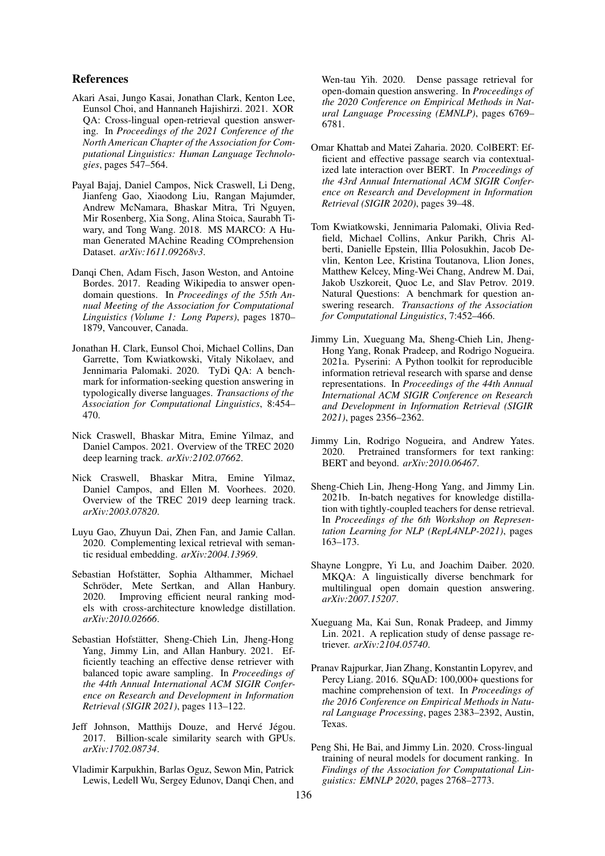## References

- <span id="page-9-9"></span>Akari Asai, Jungo Kasai, Jonathan Clark, Kenton Lee, Eunsol Choi, and Hannaneh Hajishirzi. 2021. XOR QA: Cross-lingual open-retrieval question answering. In *Proceedings of the 2021 Conference of the North American Chapter of the Association for Computational Linguistics: Human Language Technologies*, pages 547–564.
- <span id="page-9-12"></span>Payal Bajaj, Daniel Campos, Nick Craswell, Li Deng, Jianfeng Gao, Xiaodong Liu, Rangan Majumder, Andrew McNamara, Bhaskar Mitra, Tri Nguyen, Mir Rosenberg, Xia Song, Alina Stoica, Saurabh Tiwary, and Tong Wang. 2018. MS MARCO: A Human Generated MAchine Reading COmprehension Dataset. *arXiv:1611.09268v3*.
- <span id="page-9-8"></span>Danqi Chen, Adam Fisch, Jason Weston, and Antoine Bordes. 2017. Reading Wikipedia to answer opendomain questions. In *Proceedings of the 55th Annual Meeting of the Association for Computational Linguistics (Volume 1: Long Papers)*, pages 1870– 1879, Vancouver, Canada.
- <span id="page-9-6"></span>Jonathan H. Clark, Eunsol Choi, Michael Collins, Dan Garrette, Tom Kwiatkowski, Vitaly Nikolaev, and Jennimaria Palomaki. 2020. TyDi QA: A benchmark for information-seeking question answering in typologically diverse languages. *Transactions of the Association for Computational Linguistics*, 8:454– 470.
- <span id="page-9-14"></span>Nick Craswell, Bhaskar Mitra, Emine Yilmaz, and Daniel Campos. 2021. Overview of the TREC 2020 deep learning track. *arXiv:2102.07662*.
- <span id="page-9-13"></span>Nick Craswell, Bhaskar Mitra, Emine Yilmaz, Daniel Campos, and Ellen M. Voorhees. 2020. Overview of the TREC 2019 deep learning track. *arXiv:2003.07820*.
- <span id="page-9-2"></span>Luyu Gao, Zhuyun Dai, Zhen Fan, and Jamie Callan. 2020. Complementing lexical retrieval with semantic residual embedding. *arXiv:2004.13969*.
- <span id="page-9-3"></span>Sebastian Hofstätter, Sophia Althammer, Michael Schröder, Mete Sertkan, and Allan Hanbury. 2020. Improving efficient neural ranking models with cross-architecture knowledge distillation. *arXiv:2010.02666*.
- <span id="page-9-4"></span>Sebastian Hofstätter, Sheng-Chieh Lin, Jheng-Hong Yang, Jimmy Lin, and Allan Hanbury. 2021. Efficiently teaching an effective dense retriever with balanced topic aware sampling. In *Proceedings of the 44th Annual International ACM SIGIR Conference on Research and Development in Information Retrieval (SIGIR 2021)*, pages 113–122.
- <span id="page-9-17"></span>Jeff Johnson, Matthijs Douze, and Hervé Jégou. 2017. Billion-scale similarity search with GPUs. *arXiv:1702.08734*.
- <span id="page-9-0"></span>Vladimir Karpukhin, Barlas Oguz, Sewon Min, Patrick Lewis, Ledell Wu, Sergey Edunov, Danqi Chen, and

Wen-tau Yih. 2020. Dense passage retrieval for open-domain question answering. In *Proceedings of the 2020 Conference on Empirical Methods in Natural Language Processing (EMNLP)*, pages 6769– 6781.

- <span id="page-9-1"></span>Omar Khattab and Matei Zaharia. 2020. ColBERT: Efficient and effective passage search via contextualized late interaction over BERT. In *Proceedings of the 43rd Annual International ACM SIGIR Conference on Research and Development in Information Retrieval (SIGIR 2020)*, pages 39–48.
- <span id="page-9-16"></span>Tom Kwiatkowski, Jennimaria Palomaki, Olivia Redfield, Michael Collins, Ankur Parikh, Chris Alberti, Danielle Epstein, Illia Polosukhin, Jacob Devlin, Kenton Lee, Kristina Toutanova, Llion Jones, Matthew Kelcey, Ming-Wei Chang, Andrew M. Dai, Jakob Uszkoreit, Quoc Le, and Slav Petrov. 2019. Natural Questions: A benchmark for question answering research. *Transactions of the Association for Computational Linguistics*, 7:452–466.
- <span id="page-9-15"></span>Jimmy Lin, Xueguang Ma, Sheng-Chieh Lin, Jheng-Hong Yang, Ronak Pradeep, and Rodrigo Nogueira. 2021a. Pyserini: A Python toolkit for reproducible information retrieval research with sparse and dense representations. In *Proceedings of the 44th Annual International ACM SIGIR Conference on Research and Development in Information Retrieval (SIGIR 2021)*, pages 2356–2362.
- <span id="page-9-11"></span>Jimmy Lin, Rodrigo Nogueira, and Andrew Yates. 2020. Pretrained transformers for text ranking: BERT and beyond. *arXiv:2010.06467*.
- <span id="page-9-5"></span>Sheng-Chieh Lin, Jheng-Hong Yang, and Jimmy Lin. 2021b. In-batch negatives for knowledge distillation with tightly-coupled teachers for dense retrieval. In *Proceedings of the 6th Workshop on Representation Learning for NLP (RepL4NLP-2021)*, pages 163–173.
- <span id="page-9-10"></span>Shayne Longpre, Yi Lu, and Joachim Daiber. 2020. MKQA: A linguistically diverse benchmark for multilingual open domain question answering. *arXiv:2007.15207*.
- <span id="page-9-18"></span>Xueguang Ma, Kai Sun, Ronak Pradeep, and Jimmy Lin. 2021. A replication study of dense passage retriever. *arXiv:2104.05740*.
- <span id="page-9-7"></span>Pranav Rajpurkar, Jian Zhang, Konstantin Lopyrev, and Percy Liang. 2016. SQuAD: 100,000+ questions for machine comprehension of text. In *Proceedings of the 2016 Conference on Empirical Methods in Natural Language Processing*, pages 2383–2392, Austin, Texas.
- <span id="page-9-19"></span>Peng Shi, He Bai, and Jimmy Lin. 2020. Cross-lingual training of neural models for document ranking. In *Findings of the Association for Computational Linguistics: EMNLP 2020*, pages 2768–2773.